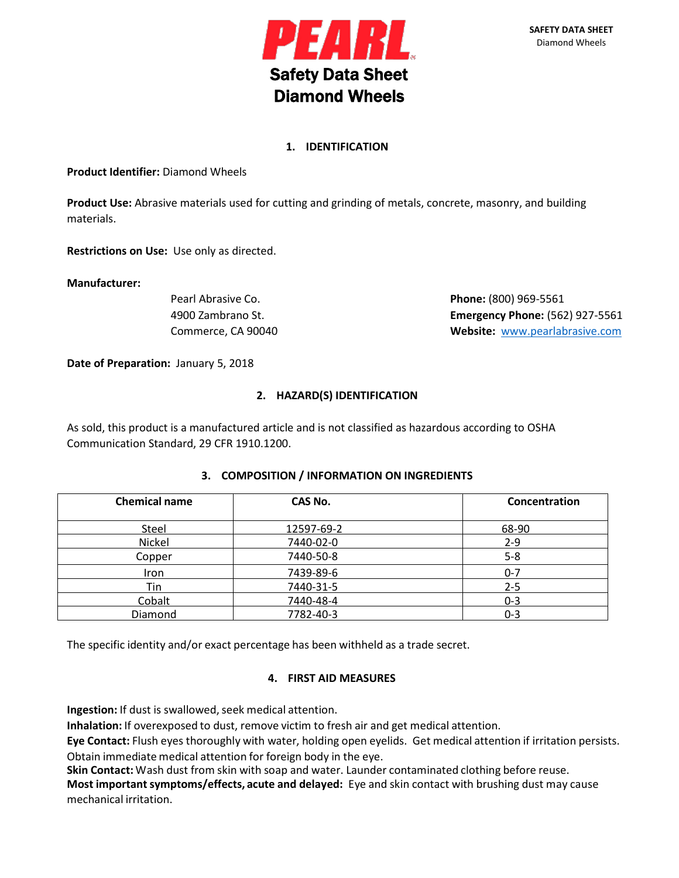

# **1. IDENTIFICATION**

**Product Identifier:** Diamond Wheels

**Product Use:** Abrasive materials used for cutting and grinding of metals, concrete, masonry, and building materials.

**Restrictions on Use:** Use only as directed.

#### **Manufacturer:**

Pearl Abrasive Co. **Phone:** (800) 969-5561 4900 Zambrano St. **Emergency Phone:** (562) 927-5561 Commerce, CA 90040 **Website:** [www.pearlabrasive.com](http://www.pearlabrasive.com/)

**Date of Preparation:** January 5, 2018

# **2. HAZARD(S) IDENTIFICATION**

As sold, this product is a manufactured article and is not classified as hazardous according to OSHA Communication Standard, 29 CFR 1910.1200.

| <b>Chemical name</b> | CAS No.    | Concentration |
|----------------------|------------|---------------|
| Steel                | 12597-69-2 | 68-90         |
| Nickel               | 7440-02-0  | $2 - 9$       |
| Copper               | 7440-50-8  | $5 - 8$       |
| Iron                 | 7439-89-6  | $0 - 7$       |
| Tin                  | 7440-31-5  | $2 - 5$       |
| Cobalt               | 7440-48-4  | $0 - 3$       |
| Diamond              | 7782-40-3  | $0 - 3$       |

## **3. COMPOSITION / INFORMATION ON INGREDIENTS**

The specific identity and/or exact percentage has been withheld as a trade secret.

## **4. FIRST AID MEASURES**

**Ingestion:** If dust is swallowed, seek medical attention.

**Inhalation:** If overexposed to dust, remove victim to fresh air and get medical attention.

**Eye Contact:** Flush eyes thoroughly with water, holding open eyelids. Get medical attention if irritation persists. Obtain immediate medical attention for foreign body in the eye.

**Skin Contact:** Wash dust from skin with soap and water. Launder contaminated clothing before reuse.

**Most importantsymptoms/effects, acute and delayed:** Eye and skin contact with brushing dust may cause mechanical irritation.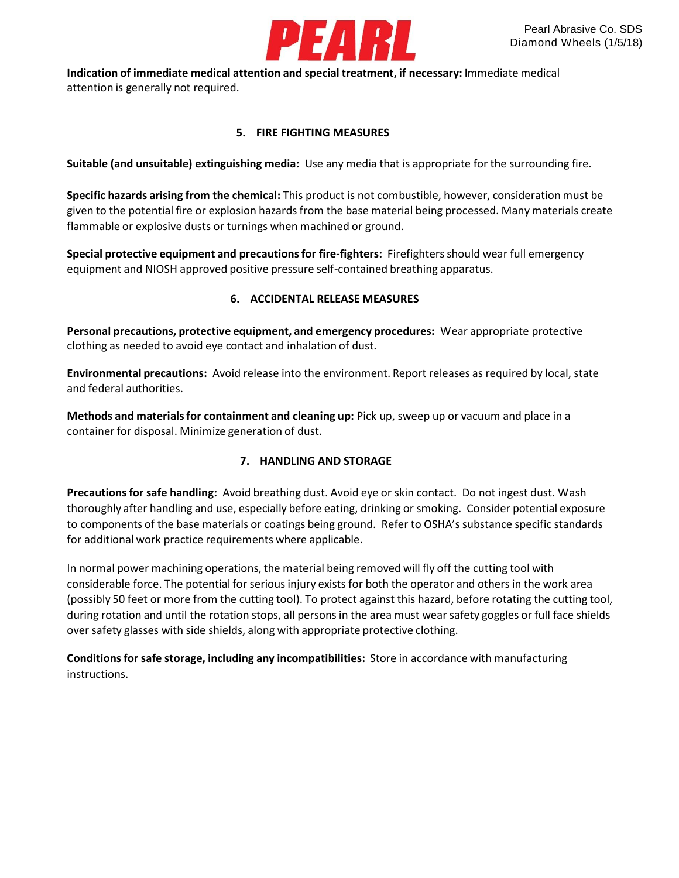

**Indication of immediate medical attention and special treatment, if necessary:** Immediate medical attention is generally not required.

**5. FIRE FIGHTING MEASURES**

**Suitable (and unsuitable) extinguishing media:** Use any media that is appropriate for the surrounding fire.

**Specific hazards arising from the chemical:** This product is not combustible, however, considerationmust be given to the potential fire or explosion hazards from the base material being processed. Many materials create flammable or explosive dusts or turnings when machined or ground.

**Special protective equipment and precautionsfor fire-fighters:** Firefightersshould wear full emergency equipment and NIOSH approved positive pressure self-contained breathing apparatus.

# **6. ACCIDENTAL RELEASE MEASURES**

**Personal precautions, protective equipment, and emergency procedures:** Wear appropriate protective clothing as needed to avoid eye contact and inhalation of dust.

**Environmental precautions:** Avoid release into the environment. Report releases as required by local, state and federal authorities.

**Methods and materialsfor containment and cleaning up:** Pick up, sweep up or vacuum and place in a container for disposal. Minimize generation of dust.

# **7. HANDLING AND STORAGE**

**Precautionsfor safe handling:** Avoid breathing dust. Avoid eye or skin contact. Do not ingest dust. Wash thoroughly after handling and use, especially before eating, drinking or smoking. Consider potential exposure to components of the base materials or coatings being ground. Refer to OSHA's substance specific standards for additional work practice requirements where applicable.

In normal power machining operations, the material being removed will fly off the cutting tool with considerable force. The potential for serious injury exists for both the operator and others in the work area (possibly 50 feet or more from the cutting tool). To protect against this hazard, before rotating the cutting tool, during rotation and until the rotation stops, all persons in the area must wear safety goggles or full face shields over safety glasses with side shields, along with appropriate protective clothing.

**Conditionsfor safe storage, including any incompatibilities:** Store in accordance with manufacturing instructions.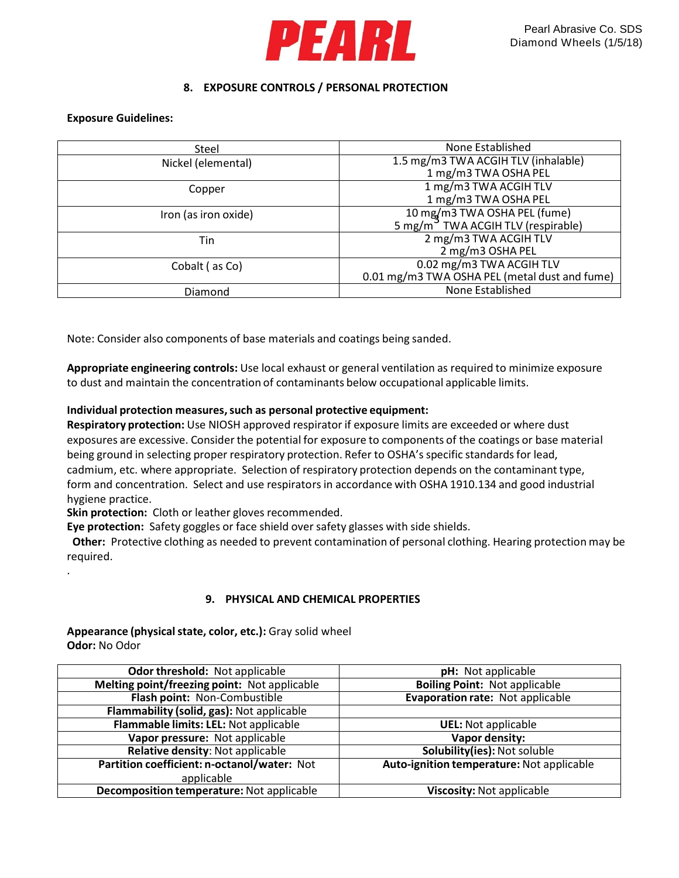

## **8. EXPOSURE CONTROLS / PERSONAL PROTECTION**

#### **Exposure Guidelines:**

.

| None Established                                                               |
|--------------------------------------------------------------------------------|
| 1.5 mg/m3 TWA ACGIH TLV (inhalable)                                            |
| 1 mg/m3 TWA OSHA PEL                                                           |
| 1 mg/m3 TWA ACGIH TLV                                                          |
| 1 mg/m3 TWA OSHA PEL                                                           |
|                                                                                |
| 10 mg/m3 TWA OSHA PEL (fume)<br>5 mg/m <sup>3</sup> TWA ACGIH TLV (respirable) |
| 2 mg/m3 TWA ACGIH TLV                                                          |
| 2 mg/m3 OSHA PEL                                                               |
| 0.02 mg/m3 TWA ACGIH TLV                                                       |
| 0.01 mg/m3 TWA OSHA PEL (metal dust and fume)                                  |
| None Established                                                               |
|                                                                                |

Note: Consider also components of base materials and coatings being sanded.

**Appropriate engineering controls:** Use local exhaust or general ventilation as required to minimize exposure to dust and maintain the concentration of contaminants below occupational applicable limits.

#### **Individual protection measures,such as personal protective equipment:**

**Respiratory protection:** Use NIOSH approved respirator if exposure limits are exceeded or where dust exposures are excessive. Consider the potential for exposure to components of the coatings or base material being ground in selecting proper respiratory protection. Refer to OSHA's specific standards for lead, cadmium, etc. where appropriate. Selection of respiratory protection depends on the contaminant type, form and concentration. Select and use respirators in accordance with OSHA 1910.134 and good industrial hygiene practice.

**Skin protection:** Cloth or leather gloves recommended.

**Eye protection:** Safety goggles or face shield over safety glasses with side shields.

 **Other:** Protective clothing as needed to prevent contamination of personal clothing. Hearing protection may be required.

#### **9. PHYSICAL AND CHEMICAL PROPERTIES**

| Appearance (physical state, color, etc.): Gray solid wheel |  |
|------------------------------------------------------------|--|
| <b>Odor:</b> No Odor                                       |  |

| Odor threshold: Not applicable               | pH: Not applicable                        |  |
|----------------------------------------------|-------------------------------------------|--|
| Melting point/freezing point: Not applicable | <b>Boiling Point: Not applicable</b>      |  |
| Flash point: Non-Combustible                 | Evaporation rate: Not applicable          |  |
| Flammability (solid, gas): Not applicable    |                                           |  |
| Flammable limits: LEL: Not applicable        | <b>UEL:</b> Not applicable                |  |
| Vapor pressure: Not applicable               | Vapor density:                            |  |
| Relative density: Not applicable             | Solubility(ies): Not soluble              |  |
| Partition coefficient: n-octanol/water: Not  | Auto-ignition temperature: Not applicable |  |
| applicable                                   |                                           |  |
| Decomposition temperature: Not applicable    | Viscosity: Not applicable                 |  |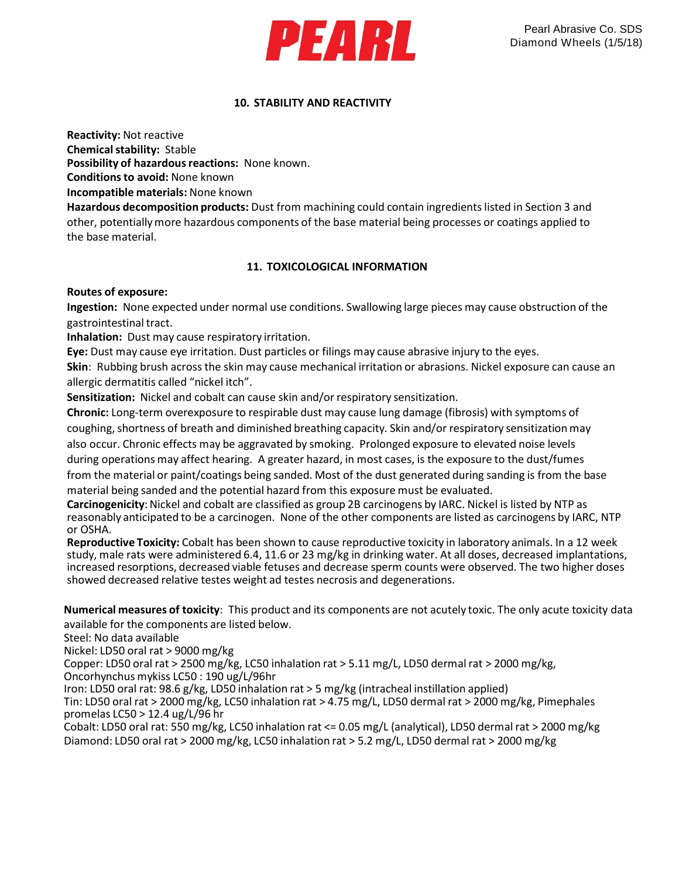

# **10. STABILITY AND REACTIVITY**

**Reactivity:** Not reactive

**Chemical stability: Stable Possibility of hazardous reactions:** None known. **Conditionsto avoid:** None known

**Incompatible materials:** None known

**Hazardous decomposition products:** Dust from machining could contain ingredientslisted in Section 3 and other, potentiallymore hazardous components of the base material being processes or coatings applied to the base material.

# **11. TOXICOLOGICAL INFORMATION**

## **Routes of exposure:**

**Ingestion:** None expected under normal use conditions. Swallowing large pieces may cause obstruction of the gastrointestinal tract.

**Inhalation:** Dust may cause respiratory irritation.

**Eye:** Dust may cause eye irritation. Dust particles or filings may cause abrasive injury to the eyes.

**Skin**: Rubbing brush across the skin may cause mechanical irritation or abrasions. Nickel exposure can cause an allergic dermatitis called "nickel itch".

**Sensitization:** Nickel and cobalt can cause skin and/or respiratory sensitization.

**Chronic:** Long-term overexposure to respirable dust may cause lung damage (fibrosis) with symptoms of coughing, shortness of breath and diminished breathing capacity. Skin and/or respiratory sensitization may also occur. Chronic effects may be aggravated by smoking. Prolonged exposure to elevated noise levels during operations may affect hearing. A greater hazard, in most cases, is the exposure to the dust/fumes from the material or paint/coatings being sanded. Most of the dust generated during sanding is from the base

material being sanded and the potential hazard from this exposure must be evaluated.

**Carcinogenicity**: Nickel and cobalt are classified as group 2B carcinogens by IARC. Nickel is listed by NTP as reasonably anticipated to be a carcinogen. None of the other components are listed as carcinogens by IARC, NTP or OSHA.

**Reproductive Toxicity:** Cobalt has been shown to cause reproductive toxicity in laboratory animals. In a 12 week study, male rats were administered 6.4, 11.6 or 23 mg/kg in drinking water. At all doses, decreased implantations, increased resorptions, decreased viable fetuses and decrease sperm counts were observed. The two higher doses showed decreased relative testes weight ad testes necrosis and degenerations.

**Numerical measures of toxicity**: This product and its components are not acutely toxic. The only acute toxicity data available for the components are listed below.

Steel: No data available

Nickel: LD50 oral rat > 9000 mg/kg

Copper: LD50 oral rat > 2500 mg/kg, LC50 inhalation rat > 5.11 mg/L, LD50 dermal rat > 2000 mg/kg, Oncorhynchus mykiss LC50 : 190 ug/L/96hr

Iron: LD50 oral rat: 98.6 g/kg, LD50 inhalation rat > 5 mg/kg (intracheal instillation applied)

Tin: LD50 oral rat > 2000 mg/kg, LC50 inhalation rat > 4.75 mg/L, LD50 dermal rat > 2000 mg/kg, Pimephales promelas LC50 > 12.4 ug/L/96 hr

Cobalt: LD50 oral rat: 550 mg/kg, LC50 inhalation rat <= 0.05 mg/L (analytical), LD50 dermal rat > 2000 mg/kg Diamond: LD50 oral rat > 2000 mg/kg, LC50 inhalation rat > 5.2 mg/L, LD50 dermal rat > 2000 mg/kg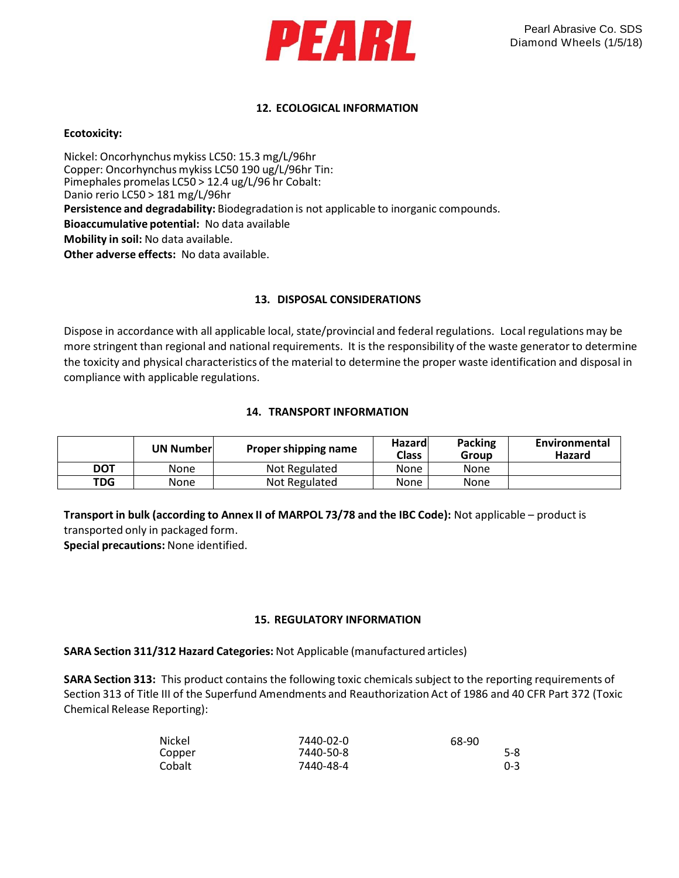

# **12. ECOLOGICAL INFORMATION**

#### **Ecotoxicity:**

Nickel: Oncorhynchus mykiss LC50: 15.3 mg/L/96hr Copper: Oncorhynchus mykiss LC50 190 ug/L/96hr Tin: Pimephales promelas LC50 > 12.4 ug/L/96 hr Cobalt: Danio rerio LC50 > 181 mg/L/96hr **Persistence and degradability:** Biodegradation is not applicable to inorganic compounds. **Bioaccumulative potential:** No data available **Mobility in soil:** No data available. **Other adverse effects:** No data available.

## **13. DISPOSAL CONSIDERATIONS**

Dispose in accordance with all applicable local, state/provincial and federal regulations. Local regulations may be more stringent than regional and national requirements. It is the responsibility of the waste generator to determine the toxicity and physical characteristics of the material to determine the proper waste identification and disposal in compliance with applicable regulations.

# **14. TRANSPORT INFORMATION**

|                              | <b>UN Numberl</b> | Proper shipping name | Hazardl<br><b>Class</b> | <b>Packing</b><br>Group | Environmental<br>Hazard |
|------------------------------|-------------------|----------------------|-------------------------|-------------------------|-------------------------|
| DOT                          | None              | Not Regulated        | None                    | None                    |                         |
| TDG<br>Not Regulated<br>None |                   | None                 | None                    |                         |                         |

**Transport in bulk (according to Annex II of MARPOL 73/78 and the IBC Code):** Not applicable – product is transported only in packaged form.

**Special precautions:** None identified.

## **15. REGULATORY INFORMATION**

## **SARA Section 311/312 Hazard Categories:** Not Applicable (manufactured articles)

**SARA Section 313:** This product contains the following toxic chemicals subject to the reporting requirements of Section 313 of Title III of the Superfund Amendments and Reauthorization Act of 1986 and 40 CFR Part 372 (Toxic Chemical Release Reporting):

| Nickel | 7440-02-0 | 68-90   |
|--------|-----------|---------|
| Copper | 7440-50-8 | 5-8     |
| Cobalt | 7440-48-4 | $0 - 3$ |